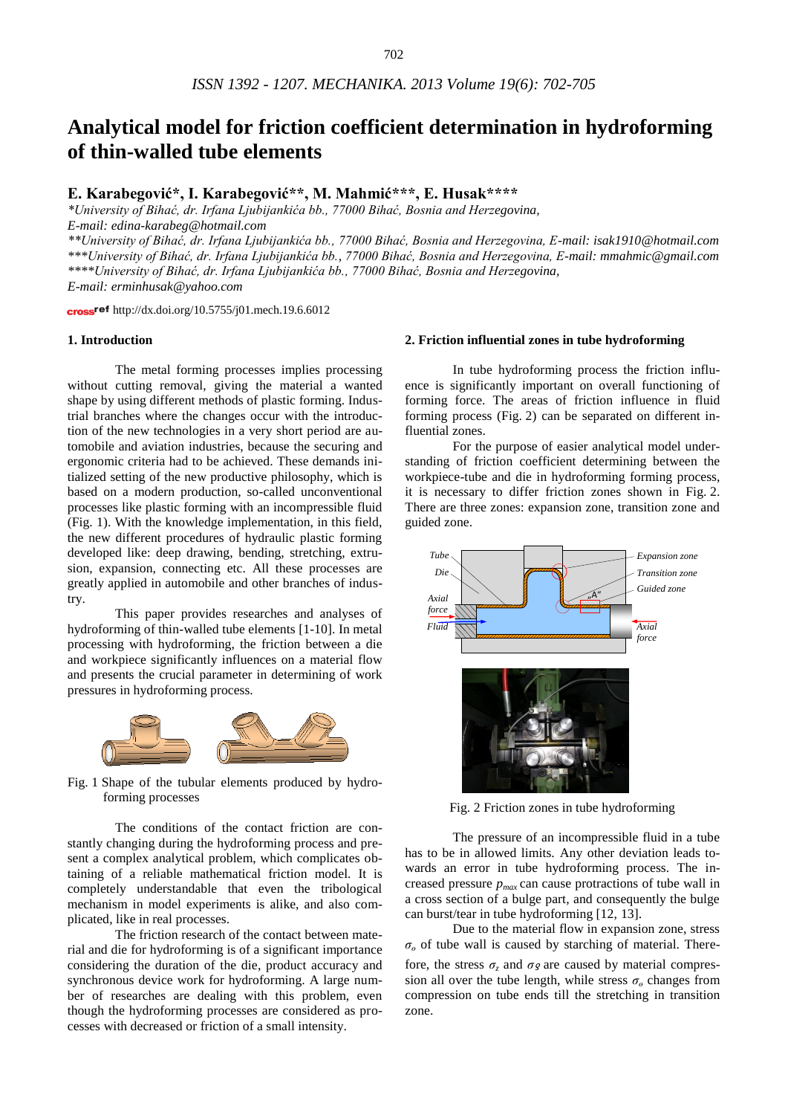# **Analytical model for friction coefficient determination in hydroforming of thin-walled tube elements**

## **E. Karabegović\*, I. Karabegović\*\*, M. Mahmić\*\*\*, E. Husak\*\*\*\***

*\*University of Bihać, dr. Irfana Ljubijankića bb., 77000 Bihać, Bosnia and Herzegovina, E-mail: edina-karabeg@hotmail.com*

*\*\*University of Bihać, dr. Irfana Ljubijankića bb., 77000 Bihać, Bosnia and Herzegovina, E-mail: isak1910@hotmail.com \*\*\*University of Bihać, dr. Irfana Ljubijankića bb., 77000 Bihać, Bosnia and Herzegovina, E-mail: mmahmic@gmail.com \*\*\*\*University of Bihać, dr. Irfana Ljubijankića bb., 77000 Bihać, Bosnia and Herzegovina,* 

*E-mail: erminhusak@yahoo.com*

cross<sup>ref</sup> <http://dx.doi.org/10.5755/j01.mech.19.6.6012>

## **1. Introduction**

The metal forming processes implies processing without cutting removal, giving the material a wanted shape by using different methods of plastic forming. Industrial branches where the changes occur with the introduction of the new technologies in a very short period are automobile and aviation industries, because the securing and ergonomic criteria had to be achieved. These demands initialized setting of the new productive philosophy, which is based on a modern production, so-called unconventional processes like plastic forming with an incompressible fluid (Fig. 1). With the knowledge implementation, in this field, the new different procedures of hydraulic plastic forming developed like: deep drawing, bending, stretching, extrusion, expansion, connecting etc. All these processes are greatly applied in automobile and other branches of industry.

This paper provides researches and analyses of hydroforming of thin-walled tube elements [1-10]. In metal processing with hydroforming, the friction between a die and workpiece significantly influences on a material flow and presents the crucial parameter in determining of work pressures in hydroforming process.



Fig. 1 Shape of the tubular elements produced by hydroforming processes

The conditions of the contact friction are constantly changing during the hydroforming process and present a complex analytical problem, which complicates obtaining of a reliable mathematical friction model. It is completely understandable that even the tribological mechanism in model experiments is alike, and also complicated, like in real processes.

The friction research of the contact between material and die for hydroforming is of a significant importance considering the duration of the die, product accuracy and synchronous device work for hydroforming. A large number of researches are dealing with this problem, even though the hydroforming processes are considered as processes with decreased or friction of a small intensity.

#### **2. Friction influential zones in tube hydroforming**

In tube hydroforming process the friction influence is significantly important on overall functioning of forming force. The areas of friction influence in fluid forming process (Fig. 2) can be separated on different influential zones.

For the purpose of easier analytical model understanding of friction coefficient determining between the workpiece-tube and die in hydroforming forming process, it is necessary to differ friction zones shown in Fig. 2. There are three zones: expansion zone, transition zone and guided zone.



Fig. 2 Friction zones in tube hydroforming

The pressure of an incompressible fluid in a tube has to be in allowed limits. Any other deviation leads towards an error in tube hydroforming process. The increased pressure *pmax* can cause protractions of tube wall in a cross section of a bulge part, and consequently the bulge can burst/tear in tube hydroforming [12, 13].

Due to the material flow in expansion zone, stress *σ<sup>ө</sup>* of tube wall is caused by starching of material. Therefore, the stress  $\sigma$ <sub>z</sub> and  $\sigma$ <sup>g</sup> are caused by material compression all over the tube length, while stress  $\sigma_{\theta}$  changes from compression on tube ends till the stretching in transition zone.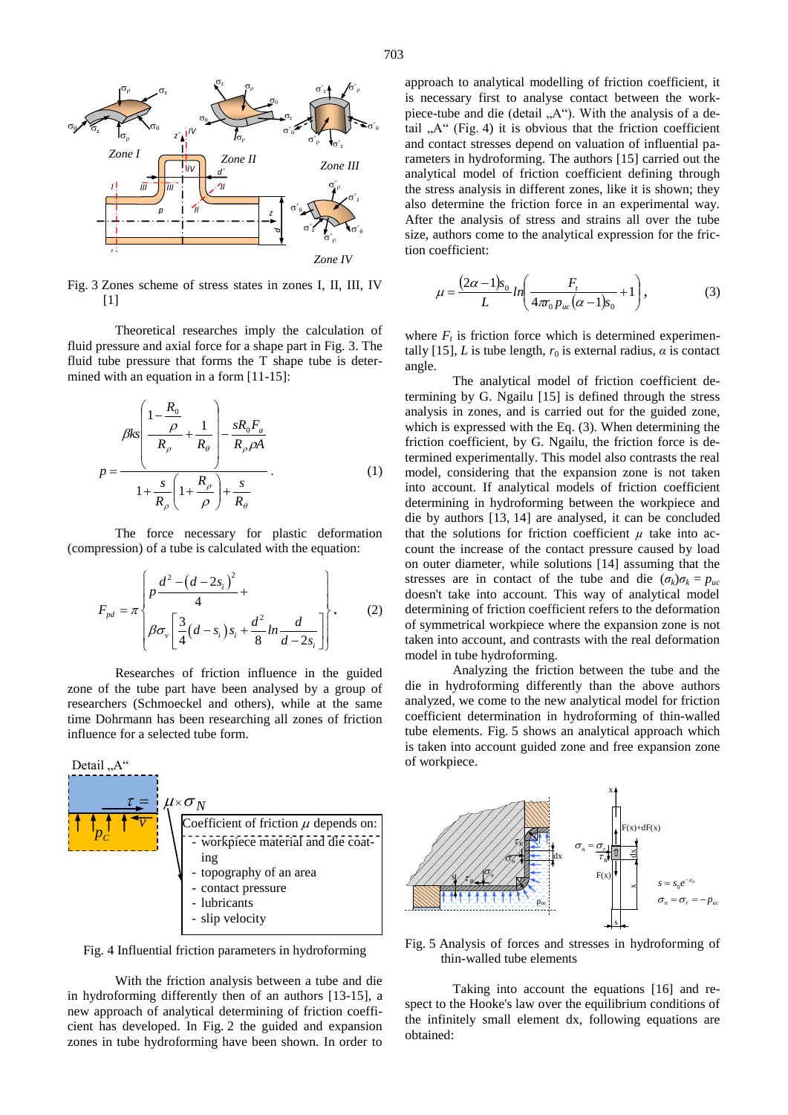

Fig. 3 Zones scheme of stress states in zones I, II, III, IV [1]

Theoretical researches imply the calculation of fluid pressure and axial force for a shape part in Fig. 3. The fluid tube pressure that forms the T shape tube is determined with an equation in a form [11-15]:

$$
\beta ks \left( \frac{1 - \frac{R_0}{\rho}}{R_\rho} + \frac{1}{R_\theta} \right) - \frac{sR_0F_a}{R_\rho\rho A}
$$
\n
$$
p = \frac{1 + \frac{s}{R_\rho} \left( 1 + \frac{R_\rho}{\rho} \right) + \frac{s}{R_\theta}}{1 + \frac{s}{R_\rho} \left( 1 + \frac{R_\rho}{\rho} \right) + \frac{s}{R_\theta}}.
$$
\n(1)

The force necessary for plastic deformation (compression) of a tube is calculated with the equation:

$$
F_{pd} = \pi \left\{ p \frac{d^2 - (d - 2s_i)^2}{4} + \beta \sigma_v \left[ \frac{3}{4} (d - s_i) s_i + \frac{d^2}{8} ln \frac{d}{d - 2s_i} \right] \right\}.
$$
 (2)

Researches of friction influence in the guided zone of the tube part have been analysed by a group of researchers (Schmoeckel and others), while at the same time Dohrmann has been researching all zones of friction influence for a selected tube form.



Fig. 4 Influential friction parameters in hydroforming

With the friction analysis between a tube and die in hydroforming differently then of an authors [13-15], a new approach of analytical determining of friction coefficient has developed. In Fig. 2 the guided and expansion zones in tube hydroforming have been shown. In order to

approach to analytical modelling of friction coefficient, it approach to analytical moderning of friction essentiating, it piece-tube and die (detail  $.A$ "). With the analysis of a detail " $A^{\prime\prime}$  (Fig. 4) it is obvious that the friction coefficient and contact stresses depend on valuation of influential parameters in hydroforming. The authors [15] carried out the analytical model of friction coefficient defining through the stress analysis in different zones, like it is shown; they also determine the friction force in an experimental way. After the analysis of stress and strains all over the tube  $\sigma'$   $\sigma'_{\sigma}$   $\sigma'_{\sigma}$  size, authors come to the analytical expression for the friction coefficient:

$$
\mu = \frac{(2\alpha - 1)s_0}{L} \ln \left( \frac{F_t}{4\pi_0 p_{uc} (\alpha - 1)s_0} + 1 \right),\tag{3}
$$

where  $F_t$  is friction force which is determined experimentally [15], *L* is tube length,  $r_0$  is external radius,  $\alpha$  is contact angle.

The analytical model of friction coefficient determining by G. Ngailu [15] is defined through the stress analysis in zones, and is carried out for the guided zone, which is expressed with the Eq. (3). When determining the friction coefficient, by G. Ngailu*,* the friction force is determined experimentally. This model also contrasts the real model, considering that the expansion zone is not taken into account. If analytical models of friction coefficient determining in hydroforming between the workpiece and die by authors [13, 14] are analysed, it can be concluded that the solutions for friction coefficient  $\mu$  take into account the increase of the contact pressure caused by load on outer diameter, while solutions [14] assuming that the stresses are in contact of the tube and die  $(\sigma_k)\sigma_k = p_{uc}$ doesn't take into account. This way of analytical model determining of friction coefficient refers to the deformation of symmetrical workpiece where the expansion zone is not taken into account, and contrasts with the real deformation model in tube hydroforming.

Analyzing the friction between the tube and the die in hydroforming differently than the above authors analyzed, we come to the new analytical model for friction coefficient determination in hydroforming of thin-walled tube elements. Fig. 5 shows an analytical approach which is taken into account guided zone and free expansion zone of workpiece.



Fig. 5 Analysis of forces and stresses in hydroforming of thin-walled tube elements

Taking into account the equations [16] and respect to the Hooke's law over the equilibrium conditions of the infinitely small element dx, following equations are obtained: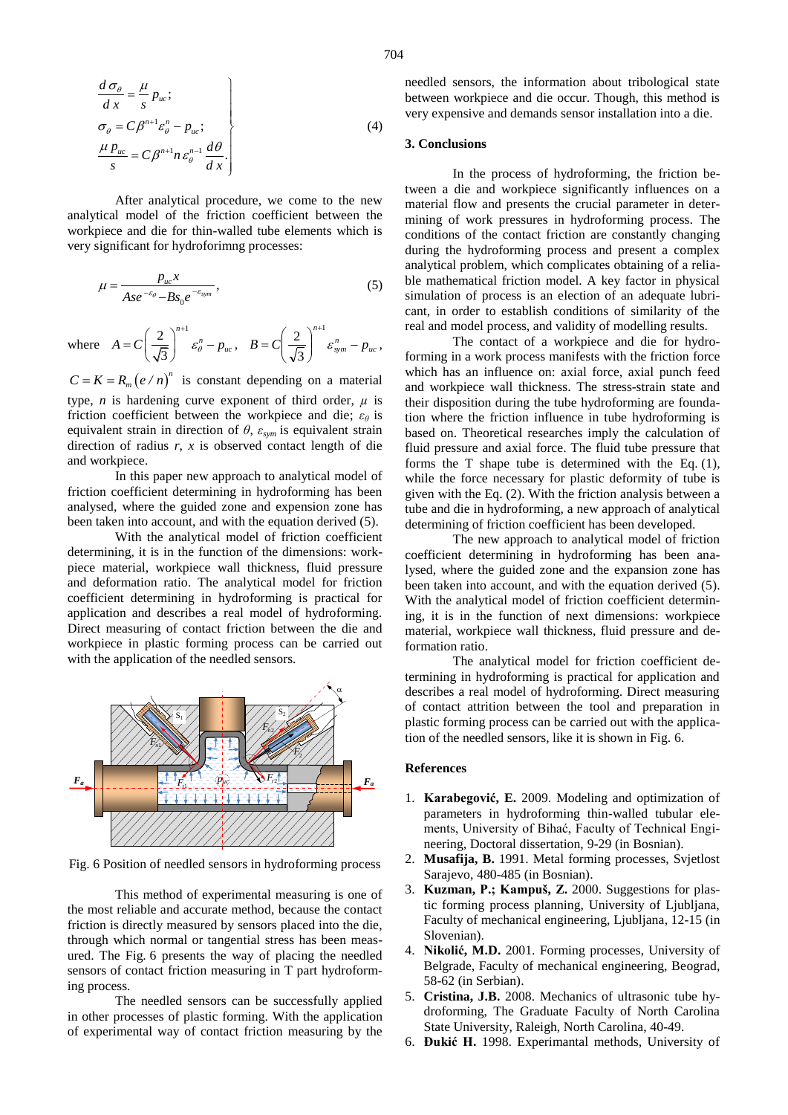$$
\begin{aligned}\n\frac{d\,\sigma_{\theta}}{dx} &= \frac{\mu}{s} \, p_{uc}; \\
\sigma_{\theta} &= C \, \beta^{n+1} \varepsilon_{\theta}^{n} - p_{uc}; \\
\frac{\mu \, p_{uc}}{s} &= C \, \beta^{n+1} n \, \varepsilon_{\theta}^{n-1} \frac{d\theta}{dx}.\n\end{aligned} \tag{4}
$$

After analytical procedure, we come to the new analytical model of the friction coefficient between the workpiece and die for thin-walled tube elements which is very significant for hydroforimng processes:

$$
\mu = \frac{p_{uc}x}{Ase^{-\varepsilon_{\theta}} - Bs_0e^{-\varepsilon_{sym}}},\tag{5}
$$

where 
$$
A = C \left(\frac{2}{\sqrt{3}}\right)^{n+1} \varepsilon_{\theta}^{n} - p_{uc}, \quad B = C \left(\frac{2}{\sqrt{3}}\right)^{n+1} \varepsilon_{sym}^{n} - p_{uc},
$$

 $C = K = R_m (e / n)^n$  is constant depending on a material type, *n* is hardening curve exponent of third order,  $\mu$  is friction coefficient between the workpiece and die; *εθ* is equivalent strain in direction of  $\theta$ ,  $\varepsilon_{sym}$  is equivalent strain direction of radius *r*, *x* is observed contact length of die and workpiece.

In this paper new approach to analytical model of friction coefficient determining in hydroforming has been analysed, where the guided zone and expension zone has been taken into account, and with the equation derived (5).

With the analytical model of friction coefficient determining, it is in the function of the dimensions: workpiece material, workpiece wall thickness, fluid pressure and deformation ratio. The analytical model for friction coefficient determining in hydroforming is practical for application and describes a real model of hydroforming. Direct measuring of contact friction between the die and workpiece in plastic forming process can be carried out with the application of the needled sensors.



Fig. 6 Position of needled sensors in hydroforming process

This method of experimental measuring is one of the most reliable and accurate method, because the contact friction is directly measured by sensors placed into the die, through which normal or tangential stress has been measured. The Fig. 6 presents the way of placing the needled sensors of contact friction measuring in T part hydroforming process.

The needled sensors can be successfully applied in other processes of plastic forming. With the application of experimental way of contact friction measuring by the needled sensors, the information about tribological state between workpiece and die occur. Though, this method is very expensive and demands sensor installation into a die.

#### **3. Conclusions**

In the process of hydroforming, the friction between a die and workpiece significantly influences on a material flow and presents the crucial parameter in determining of work pressures in hydroforming process. The conditions of the contact friction are constantly changing during the hydroforming process and present a complex analytical problem, which complicates obtaining of a reliable mathematical friction model. A key factor in physical simulation of process is an election of an adequate lubricant, in order to establish conditions of similarity of the real and model process, and validity of modelling results.

The contact of a workpiece and die for hydroforming in a work process manifests with the friction force which has an influence on: axial force, axial punch feed and workpiece wall thickness. The stress-strain state and their disposition during the tube hydroforming are foundation where the friction influence in tube hydroforming is based on. Theoretical researches imply the calculation of fluid pressure and axial force. The fluid tube pressure that forms the T shape tube is determined with the Eq. (1), while the force necessary for plastic deformity of tube is given with the Eq. (2). With the friction analysis between a tube and die in hydroforming, a new approach of analytical determining of friction coefficient has been developed.

The new approach to analytical model of friction coefficient determining in hydroforming has been analysed, where the guided zone and the expansion zone has been taken into account, and with the equation derived (5). With the analytical model of friction coefficient determining, it is in the function of next dimensions: workpiece material, workpiece wall thickness, fluid pressure and deformation ratio.

The analytical model for friction coefficient determining in hydroforming is practical for application and describes a real model of hydroforming. Direct measuring of contact attrition between the tool and preparation in plastic forming process can be carried out with the application of the needled sensors, like it is shown in Fig. 6.

#### **References**

- 1. **Karabegović, E.** 2009. Modeling and optimization of parameters in hydroforming thin-walled tubular elements, University of Bihać, Faculty of Technical Engineering, Doctoral dissertation, 9-29 (in Bosnian).
- 2. **Musafija, B.** 1991. Metal forming processes, Svjetlost Sarajevo, 480-485 (in Bosnian).
- 3. **Kuzman, P.; Kampuš, Z.** 2000. Suggestions for plastic forming process planning, University of Ljubljana, Faculty of mechanical engineering, Ljubljana, 12-15 (in Slovenian).
- 4. **Nikolić, M.D.** 2001. Forming processes, University of Belgrade, Faculty of mechanical engineering, Beograd, 58-62 (in Serbian).
- 5. **Cristina, J.B.** 2008. Mechanics of ultrasonic tube hydroforming, The Graduate Faculty of North Carolina State University, Raleigh, North Carolina, 40-49.
- 6. **Đukić H.** 1998. Experimantal methods, University of